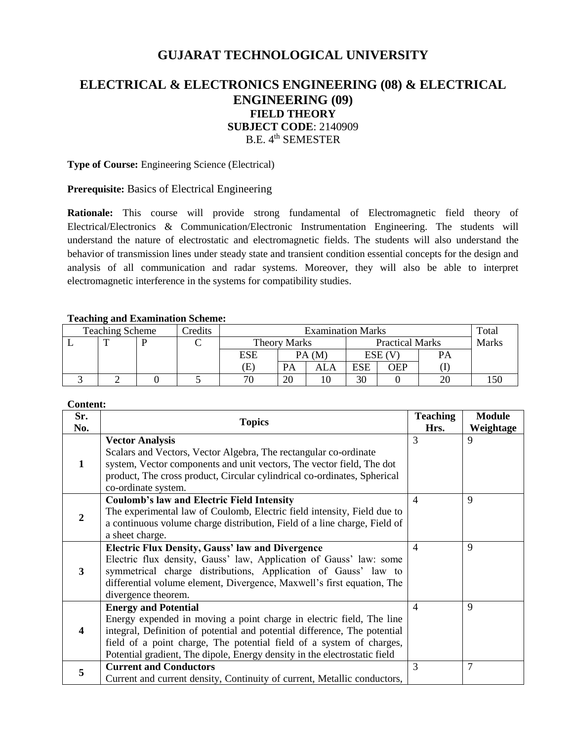# **GUJARAT TECHNOLOGICAL UNIVERSITY**

# **ELECTRICAL & ELECTRONICS ENGINEERING (08) & ELECTRICAL ENGINEERING (09) FIELD THEORY SUBJECT CODE**: 2140909 B.E. 4<sup>th</sup> SEMESTER

**Type of Course:** Engineering Science (Electrical)

## **Prerequisite:** Basics of Electrical Engineering

**Rationale:** This course will provide strong fundamental of Electromagnetic field theory of Electrical/Electronics & Communication/Electronic Instrumentation Engineering. The students will understand the nature of electrostatic and electromagnetic fields. The students will also understand the behavior of transmission lines under steady state and transient condition essential concepts for the design and analysis of all communication and radar systems. Moreover, they will also be able to interpret electromagnetic interference in the systems for compatibility studies.

### **Teaching and Examination Scheme:**

| <b>Teaching Scheme</b><br>Credits |   |  | <b>Examination Marks</b> |              |    |                        |            | Total  |       |     |
|-----------------------------------|---|--|--------------------------|--------------|----|------------------------|------------|--------|-------|-----|
|                                   | m |  |                          | Theory Marks |    | <b>Practical Marks</b> |            |        | Marks |     |
|                                   |   |  |                          | ESE          |    | PA(M)                  |            | ESE (V | PA    |     |
|                                   |   |  |                          | E)           | PA | <b>ALA</b>             | <b>ESE</b> | OEP    |       |     |
|                                   |   |  |                          | 70           | 20 |                        | 30         |        |       | .50 |

#### **Content:**

| Sr.<br>No.              | <b>Topics</b>                                                                                                                                                                                                                                                                                                                         |                | <b>Module</b><br>Weightage |
|-------------------------|---------------------------------------------------------------------------------------------------------------------------------------------------------------------------------------------------------------------------------------------------------------------------------------------------------------------------------------|----------------|----------------------------|
| 1                       | <b>Vector Analysis</b><br>Scalars and Vectors, Vector Algebra, The rectangular co-ordinate<br>system, Vector components and unit vectors, The vector field, The dot<br>product, The cross product, Circular cylindrical co-ordinates, Spherical<br>co-ordinate system.                                                                | Hrs.<br>3      | 9                          |
| $\overline{2}$          | <b>Coulomb's law and Electric Field Intensity</b><br>The experimental law of Coulomb, Electric field intensity, Field due to<br>a continuous volume charge distribution, Field of a line charge, Field of<br>a sheet charge.                                                                                                          | $\overline{4}$ | 9                          |
| 3                       | <b>Electric Flux Density, Gauss' law and Divergence</b><br>Electric flux density, Gauss' law, Application of Gauss' law: some<br>symmetrical charge distributions, Application of Gauss' law to<br>differential volume element, Divergence, Maxwell's first equation, The<br>divergence theorem.                                      | $\overline{4}$ | 9                          |
| $\overline{\mathbf{4}}$ | <b>Energy and Potential</b><br>Energy expended in moving a point charge in electric field, The line<br>integral, Definition of potential and potential difference, The potential<br>field of a point charge, The potential field of a system of charges,<br>Potential gradient, The dipole, Energy density in the electrostatic field | $\overline{4}$ | 9                          |
| 5                       | <b>Current and Conductors</b><br>Current and current density, Continuity of current, Metallic conductors,                                                                                                                                                                                                                             | 3              | $\overline{7}$             |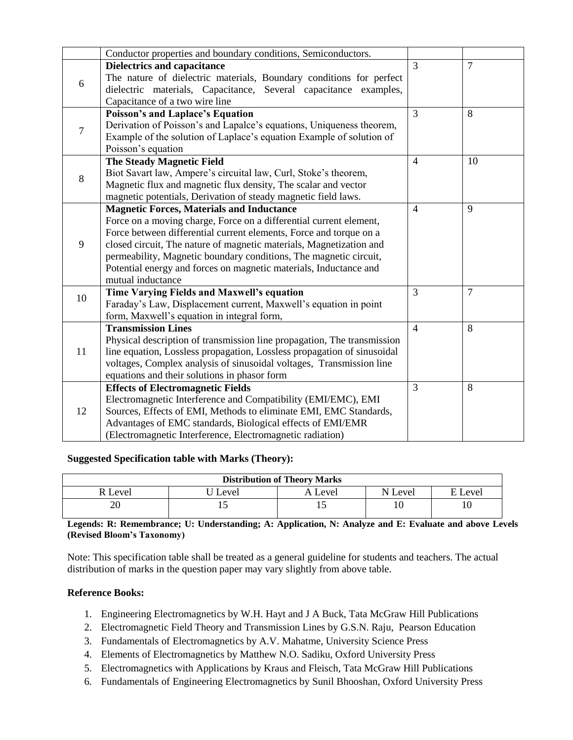| $\overline{7}$<br>3<br><b>Dielectrics and capacitance</b><br>The nature of dielectric materials, Boundary conditions for perfect<br>6<br>dielectric materials, Capacitance, Several capacitance examples,<br>Capacitance of a two wire line<br>3<br>8<br>Poisson's and Laplace's Equation<br>Derivation of Poisson's and Lapalce's equations, Uniqueness theorem,<br>$\overline{7}$<br>Example of the solution of Laplace's equation Example of solution of<br>Poisson's equation<br><b>The Steady Magnetic Field</b><br>$\overline{4}$<br>10<br>Biot Savart law, Ampere's circuital law, Curl, Stoke's theorem,<br>8<br>Magnetic flux and magnetic flux density, The scalar and vector<br>magnetic potentials, Derivation of steady magnetic field laws.<br>9<br><b>Magnetic Forces, Materials and Inductance</b><br>$\overline{4}$<br>Force on a moving charge, Force on a differential current element,<br>Force between differential current elements, Force and torque on a<br>9<br>closed circuit, The nature of magnetic materials, Magnetization and<br>permeability, Magnetic boundary conditions, The magnetic circuit,<br>Potential energy and forces on magnetic materials, Inductance and<br>mutual inductance<br>3<br><b>Time Varying Fields and Maxwell's equation</b><br>$\overline{7}$<br>10<br>Faraday's Law, Displacement current, Maxwell's equation in point<br>form, Maxwell's equation in integral form,<br><b>Transmission Lines</b><br>8<br>$\overline{4}$<br>Physical description of transmission line propagation, The transmission<br>11<br>line equation, Lossless propagation, Lossless propagation of sinusoidal<br>voltages, Complex analysis of sinusoidal voltages, Transmission line<br>equations and their solutions in phasor form<br>3<br>8<br><b>Effects of Electromagnetic Fields</b><br>Electromagnetic Interference and Compatibility (EMI/EMC), EMI<br>Sources, Effects of EMI, Methods to eliminate EMI, EMC Standards, |    | Conductor properties and boundary conditions, Semiconductors. |  |
|---------------------------------------------------------------------------------------------------------------------------------------------------------------------------------------------------------------------------------------------------------------------------------------------------------------------------------------------------------------------------------------------------------------------------------------------------------------------------------------------------------------------------------------------------------------------------------------------------------------------------------------------------------------------------------------------------------------------------------------------------------------------------------------------------------------------------------------------------------------------------------------------------------------------------------------------------------------------------------------------------------------------------------------------------------------------------------------------------------------------------------------------------------------------------------------------------------------------------------------------------------------------------------------------------------------------------------------------------------------------------------------------------------------------------------------------------------------------------------------------------------------------------------------------------------------------------------------------------------------------------------------------------------------------------------------------------------------------------------------------------------------------------------------------------------------------------------------------------------------------------------------------------------------------------------------------------------------------|----|---------------------------------------------------------------|--|
|                                                                                                                                                                                                                                                                                                                                                                                                                                                                                                                                                                                                                                                                                                                                                                                                                                                                                                                                                                                                                                                                                                                                                                                                                                                                                                                                                                                                                                                                                                                                                                                                                                                                                                                                                                                                                                                                                                                                                                     |    |                                                               |  |
|                                                                                                                                                                                                                                                                                                                                                                                                                                                                                                                                                                                                                                                                                                                                                                                                                                                                                                                                                                                                                                                                                                                                                                                                                                                                                                                                                                                                                                                                                                                                                                                                                                                                                                                                                                                                                                                                                                                                                                     |    |                                                               |  |
|                                                                                                                                                                                                                                                                                                                                                                                                                                                                                                                                                                                                                                                                                                                                                                                                                                                                                                                                                                                                                                                                                                                                                                                                                                                                                                                                                                                                                                                                                                                                                                                                                                                                                                                                                                                                                                                                                                                                                                     |    |                                                               |  |
|                                                                                                                                                                                                                                                                                                                                                                                                                                                                                                                                                                                                                                                                                                                                                                                                                                                                                                                                                                                                                                                                                                                                                                                                                                                                                                                                                                                                                                                                                                                                                                                                                                                                                                                                                                                                                                                                                                                                                                     |    |                                                               |  |
|                                                                                                                                                                                                                                                                                                                                                                                                                                                                                                                                                                                                                                                                                                                                                                                                                                                                                                                                                                                                                                                                                                                                                                                                                                                                                                                                                                                                                                                                                                                                                                                                                                                                                                                                                                                                                                                                                                                                                                     |    |                                                               |  |
|                                                                                                                                                                                                                                                                                                                                                                                                                                                                                                                                                                                                                                                                                                                                                                                                                                                                                                                                                                                                                                                                                                                                                                                                                                                                                                                                                                                                                                                                                                                                                                                                                                                                                                                                                                                                                                                                                                                                                                     |    |                                                               |  |
|                                                                                                                                                                                                                                                                                                                                                                                                                                                                                                                                                                                                                                                                                                                                                                                                                                                                                                                                                                                                                                                                                                                                                                                                                                                                                                                                                                                                                                                                                                                                                                                                                                                                                                                                                                                                                                                                                                                                                                     |    |                                                               |  |
|                                                                                                                                                                                                                                                                                                                                                                                                                                                                                                                                                                                                                                                                                                                                                                                                                                                                                                                                                                                                                                                                                                                                                                                                                                                                                                                                                                                                                                                                                                                                                                                                                                                                                                                                                                                                                                                                                                                                                                     |    |                                                               |  |
|                                                                                                                                                                                                                                                                                                                                                                                                                                                                                                                                                                                                                                                                                                                                                                                                                                                                                                                                                                                                                                                                                                                                                                                                                                                                                                                                                                                                                                                                                                                                                                                                                                                                                                                                                                                                                                                                                                                                                                     |    |                                                               |  |
|                                                                                                                                                                                                                                                                                                                                                                                                                                                                                                                                                                                                                                                                                                                                                                                                                                                                                                                                                                                                                                                                                                                                                                                                                                                                                                                                                                                                                                                                                                                                                                                                                                                                                                                                                                                                                                                                                                                                                                     |    |                                                               |  |
|                                                                                                                                                                                                                                                                                                                                                                                                                                                                                                                                                                                                                                                                                                                                                                                                                                                                                                                                                                                                                                                                                                                                                                                                                                                                                                                                                                                                                                                                                                                                                                                                                                                                                                                                                                                                                                                                                                                                                                     |    |                                                               |  |
|                                                                                                                                                                                                                                                                                                                                                                                                                                                                                                                                                                                                                                                                                                                                                                                                                                                                                                                                                                                                                                                                                                                                                                                                                                                                                                                                                                                                                                                                                                                                                                                                                                                                                                                                                                                                                                                                                                                                                                     |    |                                                               |  |
|                                                                                                                                                                                                                                                                                                                                                                                                                                                                                                                                                                                                                                                                                                                                                                                                                                                                                                                                                                                                                                                                                                                                                                                                                                                                                                                                                                                                                                                                                                                                                                                                                                                                                                                                                                                                                                                                                                                                                                     |    |                                                               |  |
|                                                                                                                                                                                                                                                                                                                                                                                                                                                                                                                                                                                                                                                                                                                                                                                                                                                                                                                                                                                                                                                                                                                                                                                                                                                                                                                                                                                                                                                                                                                                                                                                                                                                                                                                                                                                                                                                                                                                                                     |    |                                                               |  |
|                                                                                                                                                                                                                                                                                                                                                                                                                                                                                                                                                                                                                                                                                                                                                                                                                                                                                                                                                                                                                                                                                                                                                                                                                                                                                                                                                                                                                                                                                                                                                                                                                                                                                                                                                                                                                                                                                                                                                                     |    |                                                               |  |
|                                                                                                                                                                                                                                                                                                                                                                                                                                                                                                                                                                                                                                                                                                                                                                                                                                                                                                                                                                                                                                                                                                                                                                                                                                                                                                                                                                                                                                                                                                                                                                                                                                                                                                                                                                                                                                                                                                                                                                     |    |                                                               |  |
|                                                                                                                                                                                                                                                                                                                                                                                                                                                                                                                                                                                                                                                                                                                                                                                                                                                                                                                                                                                                                                                                                                                                                                                                                                                                                                                                                                                                                                                                                                                                                                                                                                                                                                                                                                                                                                                                                                                                                                     |    |                                                               |  |
|                                                                                                                                                                                                                                                                                                                                                                                                                                                                                                                                                                                                                                                                                                                                                                                                                                                                                                                                                                                                                                                                                                                                                                                                                                                                                                                                                                                                                                                                                                                                                                                                                                                                                                                                                                                                                                                                                                                                                                     |    |                                                               |  |
|                                                                                                                                                                                                                                                                                                                                                                                                                                                                                                                                                                                                                                                                                                                                                                                                                                                                                                                                                                                                                                                                                                                                                                                                                                                                                                                                                                                                                                                                                                                                                                                                                                                                                                                                                                                                                                                                                                                                                                     |    |                                                               |  |
|                                                                                                                                                                                                                                                                                                                                                                                                                                                                                                                                                                                                                                                                                                                                                                                                                                                                                                                                                                                                                                                                                                                                                                                                                                                                                                                                                                                                                                                                                                                                                                                                                                                                                                                                                                                                                                                                                                                                                                     |    |                                                               |  |
|                                                                                                                                                                                                                                                                                                                                                                                                                                                                                                                                                                                                                                                                                                                                                                                                                                                                                                                                                                                                                                                                                                                                                                                                                                                                                                                                                                                                                                                                                                                                                                                                                                                                                                                                                                                                                                                                                                                                                                     |    |                                                               |  |
|                                                                                                                                                                                                                                                                                                                                                                                                                                                                                                                                                                                                                                                                                                                                                                                                                                                                                                                                                                                                                                                                                                                                                                                                                                                                                                                                                                                                                                                                                                                                                                                                                                                                                                                                                                                                                                                                                                                                                                     |    |                                                               |  |
|                                                                                                                                                                                                                                                                                                                                                                                                                                                                                                                                                                                                                                                                                                                                                                                                                                                                                                                                                                                                                                                                                                                                                                                                                                                                                                                                                                                                                                                                                                                                                                                                                                                                                                                                                                                                                                                                                                                                                                     |    |                                                               |  |
|                                                                                                                                                                                                                                                                                                                                                                                                                                                                                                                                                                                                                                                                                                                                                                                                                                                                                                                                                                                                                                                                                                                                                                                                                                                                                                                                                                                                                                                                                                                                                                                                                                                                                                                                                                                                                                                                                                                                                                     |    |                                                               |  |
|                                                                                                                                                                                                                                                                                                                                                                                                                                                                                                                                                                                                                                                                                                                                                                                                                                                                                                                                                                                                                                                                                                                                                                                                                                                                                                                                                                                                                                                                                                                                                                                                                                                                                                                                                                                                                                                                                                                                                                     |    |                                                               |  |
|                                                                                                                                                                                                                                                                                                                                                                                                                                                                                                                                                                                                                                                                                                                                                                                                                                                                                                                                                                                                                                                                                                                                                                                                                                                                                                                                                                                                                                                                                                                                                                                                                                                                                                                                                                                                                                                                                                                                                                     |    |                                                               |  |
|                                                                                                                                                                                                                                                                                                                                                                                                                                                                                                                                                                                                                                                                                                                                                                                                                                                                                                                                                                                                                                                                                                                                                                                                                                                                                                                                                                                                                                                                                                                                                                                                                                                                                                                                                                                                                                                                                                                                                                     |    |                                                               |  |
|                                                                                                                                                                                                                                                                                                                                                                                                                                                                                                                                                                                                                                                                                                                                                                                                                                                                                                                                                                                                                                                                                                                                                                                                                                                                                                                                                                                                                                                                                                                                                                                                                                                                                                                                                                                                                                                                                                                                                                     | 12 |                                                               |  |
|                                                                                                                                                                                                                                                                                                                                                                                                                                                                                                                                                                                                                                                                                                                                                                                                                                                                                                                                                                                                                                                                                                                                                                                                                                                                                                                                                                                                                                                                                                                                                                                                                                                                                                                                                                                                                                                                                                                                                                     |    |                                                               |  |
| Advantages of EMC standards, Biological effects of EMI/EMR                                                                                                                                                                                                                                                                                                                                                                                                                                                                                                                                                                                                                                                                                                                                                                                                                                                                                                                                                                                                                                                                                                                                                                                                                                                                                                                                                                                                                                                                                                                                                                                                                                                                                                                                                                                                                                                                                                          |    |                                                               |  |
| (Electromagnetic Interference, Electromagnetic radiation)                                                                                                                                                                                                                                                                                                                                                                                                                                                                                                                                                                                                                                                                                                                                                                                                                                                                                                                                                                                                                                                                                                                                                                                                                                                                                                                                                                                                                                                                                                                                                                                                                                                                                                                                                                                                                                                                                                           |    |                                                               |  |

## **Suggested Specification table with Marks (Theory):**

| <b>Distribution of Theory Marks</b> |       |         |         |         |  |  |
|-------------------------------------|-------|---------|---------|---------|--|--|
| R Level                             | Level | A Level | N Level | E Level |  |  |
| 20                                  |       |         |         | 10      |  |  |

**Legends: R: Remembrance; U: Understanding; A: Application, N: Analyze and E: Evaluate and above Levels (Revised Bloom's Taxonomy)**

Note: This specification table shall be treated as a general guideline for students and teachers. The actual distribution of marks in the question paper may vary slightly from above table.

## **Reference Books:**

- 1. Engineering Electromagnetics by W.H. Hayt and J A Buck, Tata McGraw Hill Publications
- 2. Electromagnetic Field Theory and Transmission Lines by G.S.N. Raju, Pearson Education
- 3. Fundamentals of Electromagnetics by A.V. Mahatme, University Science Press
- 4. Elements of Electromagnetics by Matthew N.O. Sadiku, Oxford University Press
- 5. Electromagnetics with Applications by Kraus and Fleisch, Tata McGraw Hill Publications
- 6. Fundamentals of Engineering Electromagnetics by Sunil Bhooshan, Oxford University Press